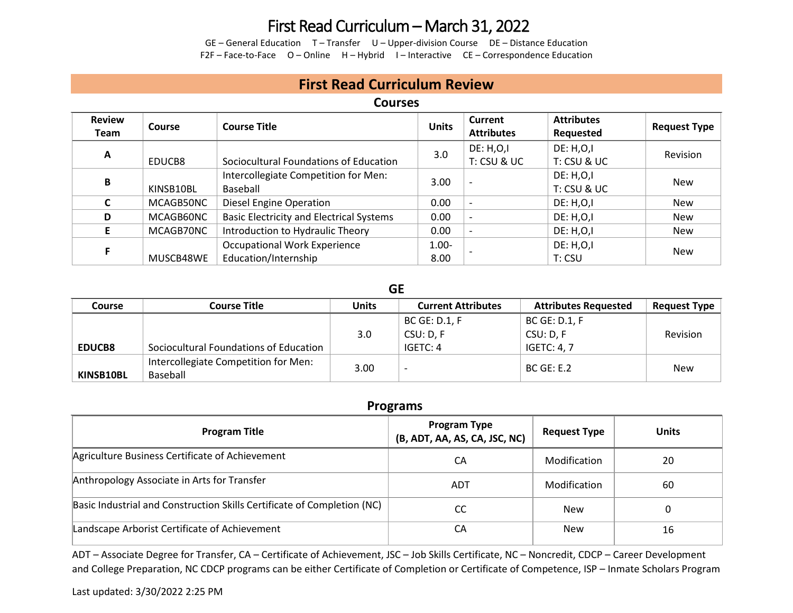## First Read Curriculum – March 31, 2022

GE – General Education T – Transfer U – Upper-division Course DE – Distance Education F2F – Face-to-Face O – Online H – Hybrid I – Interactive CE – Correspondence Education

## **First Read Curriculum Review**

### **Courses**

| <b>Review</b><br>Team | Course    | <b>Course Title</b>                                         | <b>Units</b>     | <b>Current</b><br><b>Attributes</b> | <b>Attributes</b><br>Requested | <b>Request Type</b> |
|-----------------------|-----------|-------------------------------------------------------------|------------------|-------------------------------------|--------------------------------|---------------------|
| A                     | EDUCB8    | Sociocultural Foundations of Education                      | 3.0              | DE: H, O, I<br>T: CSU & UC          | DE: H, O, I<br>T: CSU & UC     | Revision            |
| В                     | KINSB10BL | Intercollegiate Competition for Men:<br>Baseball            | 3.00             |                                     | DE: H, O, I<br>T: CSU & UC     | <b>New</b>          |
|                       | MCAGB50NC | <b>Diesel Engine Operation</b>                              | 0.00             |                                     | DE: H, O, I                    | <b>New</b>          |
| D                     | MCAGB60NC | <b>Basic Electricity and Electrical Systems</b>             | 0.00             |                                     | <b>DE: H,O,I</b>               | <b>New</b>          |
|                       | MCAGB70NC | Introduction to Hydraulic Theory                            | 0.00             | $\overline{\phantom{0}}$            | <b>DE: H,O,I</b>               | <b>New</b>          |
|                       | MUSCB48WE | <b>Occupational Work Experience</b><br>Education/Internship | $1.00 -$<br>8.00 |                                     | <b>DE: H,O,I</b><br>T: CSU     | <b>New</b>          |

#### **GE**

| Course        | <b>Course Title</b>                              | <b>Units</b>     | <b>Current Attributes</b> | <b>Attributes Requested</b> | <b>Request Type</b> |
|---------------|--------------------------------------------------|------------------|---------------------------|-----------------------------|---------------------|
|               |                                                  |                  | <b>BC GE: D.1, F</b>      | BC GE: D.1, F               |                     |
|               |                                                  | 3.0 <sub>2</sub> | CSU: D, F                 | CSU: D, F                   | Revision            |
| <b>EDUCB8</b> | Sociocultural Foundations of Education           |                  | IGETC: 4                  | <b>IGETC: 4, 7</b>          |                     |
| KINSB10BL     | Intercollegiate Competition for Men:<br>Baseball | 3.00             | $\overline{\phantom{0}}$  | <b>BC GE: E.2</b>           | <b>New</b>          |

### **Programs**

| <b>Program Title</b>                                                    | <b>Program Type</b><br>(B, ADT, AA, AS, CA, JSC, NC) | <b>Request Type</b> | <b>Units</b> |
|-------------------------------------------------------------------------|------------------------------------------------------|---------------------|--------------|
| Agriculture Business Certificate of Achievement                         | CA                                                   | Modification        | 20           |
| Anthropology Associate in Arts for Transfer                             | ADT                                                  | Modification        | 60           |
| Basic Industrial and Construction Skills Certificate of Completion (NC) | CC                                                   | New                 |              |
| Landscape Arborist Certificate of Achievement                           | CA                                                   | <b>New</b>          | 16           |

ADT – Associate Degree for Transfer, CA – Certificate of Achievement, JSC – Job Skills Certificate, NC – Noncredit, CDCP – Career Development and College Preparation, NC CDCP programs can be either Certificate of Completion or Certificate of Competence, ISP – Inmate Scholars Program